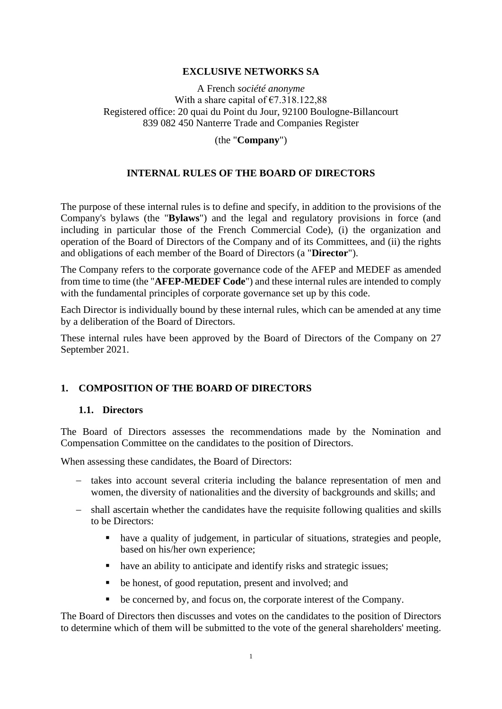#### **EXCLUSIVE NETWORKS SA**

A French *société anonyme*  With a share capital of  $\text{\textsterling}7.318.122.88$ Registered office: 20 quai du Point du Jour, 92100 Boulogne-Billancourt 839 082 450 Nanterre Trade and Companies Register

(the "**Company**")

#### **INTERNAL RULES OF THE BOARD OF DIRECTORS**

The purpose of these internal rules is to define and specify, in addition to the provisions of the Company's bylaws (the "**Bylaws**") and the legal and regulatory provisions in force (and including in particular those of the French Commercial Code), (i) the organization and operation of the Board of Directors of the Company and of its Committees, and (ii) the rights and obligations of each member of the Board of Directors (a "**Director**").

The Company refers to the corporate governance code of the AFEP and MEDEF as amended from time to time (the "**AFEP-MEDEF Code**") and these internal rules are intended to comply with the fundamental principles of corporate governance set up by this code.

Each Director is individually bound by these internal rules, which can be amended at any time by a deliberation of the Board of Directors.

These internal rules have been approved by the Board of Directors of the Company on 27 September 2021.

#### **1. COMPOSITION OF THE BOARD OF DIRECTORS**

#### **1.1. Directors**

The Board of Directors assesses the recommendations made by the Nomination and Compensation Committee on the candidates to the position of Directors.

When assessing these candidates, the Board of Directors:

- − takes into account several criteria including the balance representation of men and women, the diversity of nationalities and the diversity of backgrounds and skills; and
- − shall ascertain whether the candidates have the requisite following qualities and skills to be Directors:
	- have a quality of judgement, in particular of situations, strategies and people, based on his/her own experience;
	- have an ability to anticipate and identify risks and strategic issues;
	- be honest, of good reputation, present and involved; and
	- be concerned by, and focus on, the corporate interest of the Company.

The Board of Directors then discusses and votes on the candidates to the position of Directors to determine which of them will be submitted to the vote of the general shareholders' meeting.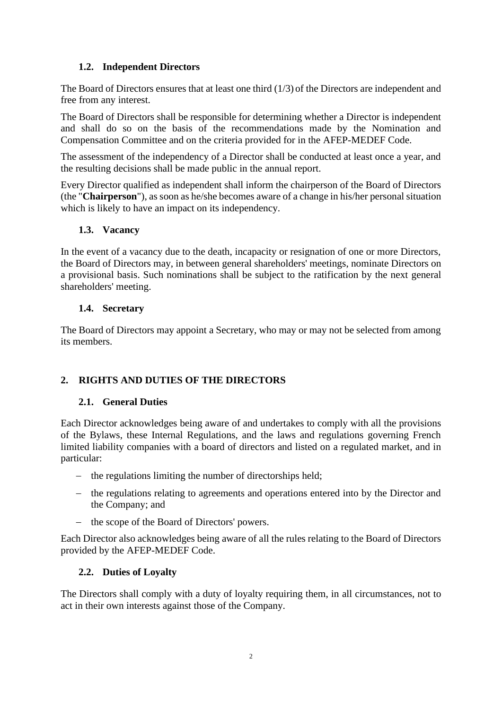## **1.2. Independent Directors**

The Board of Directors ensures that at least one third (1/3) of the Directors are independent and free from any interest.

The Board of Directors shall be responsible for determining whether a Director is independent and shall do so on the basis of the recommendations made by the Nomination and Compensation Committee and on the criteria provided for in the AFEP-MEDEF Code.

The assessment of the independency of a Director shall be conducted at least once a year, and the resulting decisions shall be made public in the annual report.

Every Director qualified as independent shall inform the chairperson of the Board of Directors (the "**Chairperson**"), as soon as he/she becomes aware of a change in his/her personal situation which is likely to have an impact on its independency.

## **1.3. Vacancy**

In the event of a vacancy due to the death, incapacity or resignation of one or more Directors, the Board of Directors may, in between general shareholders' meetings, nominate Directors on a provisional basis. Such nominations shall be subject to the ratification by the next general shareholders' meeting.

## **1.4. Secretary**

The Board of Directors may appoint a Secretary, who may or may not be selected from among its members.

# **2. RIGHTS AND DUTIES OF THE DIRECTORS**

## **2.1. General Duties**

Each Director acknowledges being aware of and undertakes to comply with all the provisions of the Bylaws, these Internal Regulations, and the laws and regulations governing French limited liability companies with a board of directors and listed on a regulated market, and in particular:

- − the regulations limiting the number of directorships held;
- − the regulations relating to agreements and operations entered into by the Director and the Company; and
- − the scope of the Board of Directors' powers.

Each Director also acknowledges being aware of all the rules relating to the Board of Directors provided by the AFEP-MEDEF Code.

## **2.2. Duties of Loyalty**

The Directors shall comply with a duty of loyalty requiring them, in all circumstances, not to act in their own interests against those of the Company.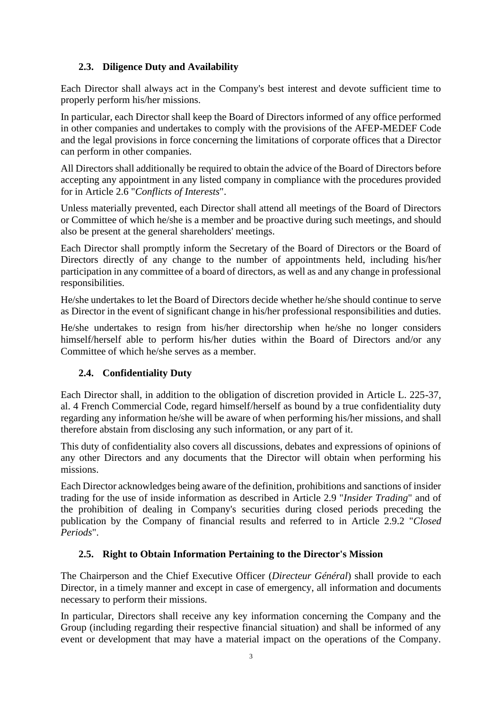# **2.3. Diligence Duty and Availability**

Each Director shall always act in the Company's best interest and devote sufficient time to properly perform his/her missions.

In particular, each Director shall keep the Board of Directors informed of any office performed in other companies and undertakes to comply with the provisions of the AFEP-MEDEF Code and the legal provisions in force concerning the limitations of corporate offices that a Director can perform in other companies.

All Directors shall additionally be required to obtain the advice of the Board of Directors before accepting any appointment in any listed company in compliance with the procedures provided for in Article [2.6](#page-3-0) "*Conflicts of Interests*".

Unless materially prevented, each Director shall attend all meetings of the Board of Directors or Committee of which he/she is a member and be proactive during such meetings, and should also be present at the general shareholders' meetings.

Each Director shall promptly inform the Secretary of the Board of Directors or the Board of Directors directly of any change to the number of appointments held, including his/her participation in any committee of a board of directors, as well as and any change in professional responsibilities.

He/she undertakes to let the Board of Directors decide whether he/she should continue to serve as Director in the event of significant change in his/her professional responsibilities and duties.

He/she undertakes to resign from his/her directorship when he/she no longer considers himself/herself able to perform his/her duties within the Board of Directors and/or any Committee of which he/she serves as a member.

# **2.4. Confidentiality Duty**

Each Director shall, in addition to the obligation of discretion provided in Article L. 225-37, al. 4 French Commercial Code, regard himself/herself as bound by a true confidentiality duty regarding any information he/she will be aware of when performing his/her missions, and shall therefore abstain from disclosing any such information, or any part of it.

This duty of confidentiality also covers all discussions, debates and expressions of opinions of any other Directors and any documents that the Director will obtain when performing his missions.

Each Director acknowledges being aware of the definition, prohibitions and sanctions of insider trading for the use of inside information as described in Article [2.9](#page-4-0) "*Insider Trading*" and of the prohibition of dealing in Company's securities during closed periods preceding the publication by the Company of financial results and referred to in Article [2.9.2](#page-5-0) "*Closed Periods*".

# **2.5. Right to Obtain Information Pertaining to the Director's Mission**

The Chairperson and the Chief Executive Officer (*Directeur Général*) shall provide to each Director, in a timely manner and except in case of emergency, all information and documents necessary to perform their missions.

In particular, Directors shall receive any key information concerning the Company and the Group (including regarding their respective financial situation) and shall be informed of any event or development that may have a material impact on the operations of the Company.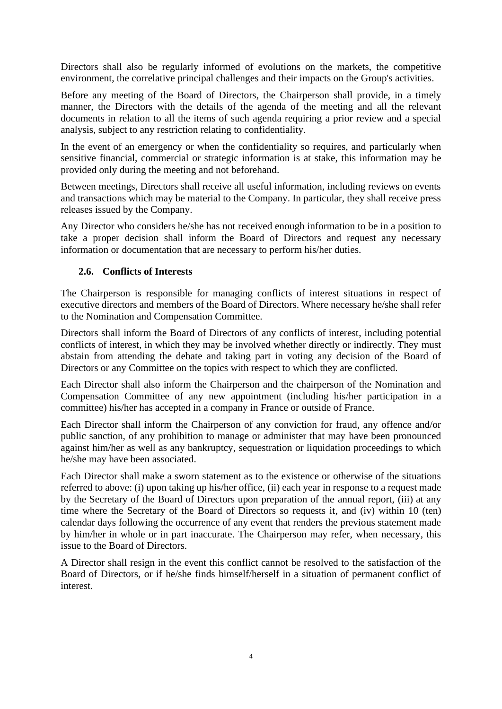Directors shall also be regularly informed of evolutions on the markets, the competitive environment, the correlative principal challenges and their impacts on the Group's activities.

Before any meeting of the Board of Directors, the Chairperson shall provide, in a timely manner, the Directors with the details of the agenda of the meeting and all the relevant documents in relation to all the items of such agenda requiring a prior review and a special analysis, subject to any restriction relating to confidentiality.

In the event of an emergency or when the confidentiality so requires, and particularly when sensitive financial, commercial or strategic information is at stake, this information may be provided only during the meeting and not beforehand.

Between meetings, Directors shall receive all useful information, including reviews on events and transactions which may be material to the Company. In particular, they shall receive press releases issued by the Company.

Any Director who considers he/she has not received enough information to be in a position to take a proper decision shall inform the Board of Directors and request any necessary information or documentation that are necessary to perform his/her duties.

## <span id="page-3-0"></span>**2.6. Conflicts of Interests**

The Chairperson is responsible for managing conflicts of interest situations in respect of executive directors and members of the Board of Directors. Where necessary he/she shall refer to the Nomination and Compensation Committee.

Directors shall inform the Board of Directors of any conflicts of interest, including potential conflicts of interest, in which they may be involved whether directly or indirectly. They must abstain from attending the debate and taking part in voting any decision of the Board of Directors or any Committee on the topics with respect to which they are conflicted.

Each Director shall also inform the Chairperson and the chairperson of the Nomination and Compensation Committee of any new appointment (including his/her participation in a committee) his/her has accepted in a company in France or outside of France.

Each Director shall inform the Chairperson of any conviction for fraud, any offence and/or public sanction, of any prohibition to manage or administer that may have been pronounced against him/her as well as any bankruptcy, sequestration or liquidation proceedings to which he/she may have been associated.

Each Director shall make a sworn statement as to the existence or otherwise of the situations referred to above: (i) upon taking up his/her office, (ii) each year in response to a request made by the Secretary of the Board of Directors upon preparation of the annual report, (iii) at any time where the Secretary of the Board of Directors so requests it, and (iv) within 10 (ten) calendar days following the occurrence of any event that renders the previous statement made by him/her in whole or in part inaccurate. The Chairperson may refer, when necessary, this issue to the Board of Directors.

A Director shall resign in the event this conflict cannot be resolved to the satisfaction of the Board of Directors, or if he/she finds himself/herself in a situation of permanent conflict of interest.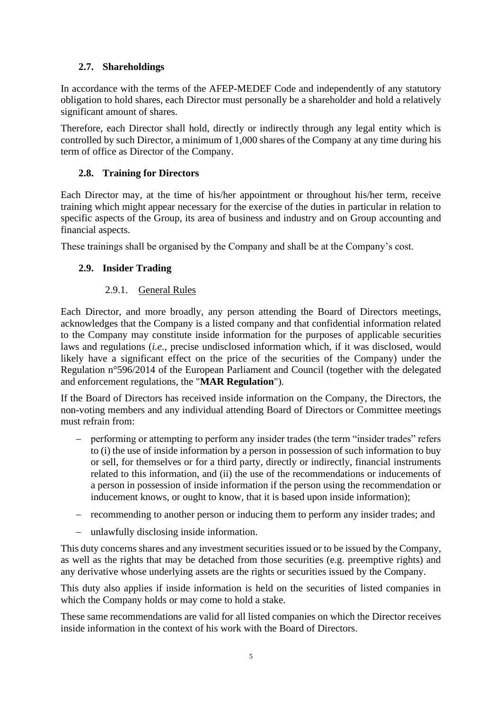# **2.7. Shareholdings**

In accordance with the terms of the AFEP-MEDEF Code and independently of any statutory obligation to hold shares, each Director must personally be a shareholder and hold a relatively significant amount of shares.

Therefore, each Director shall hold, directly or indirectly through any legal entity which is controlled by such Director, a minimum of 1,000 shares of the Company at any time during his term of office as Director of the Company.

# **2.8. Training for Directors**

Each Director may, at the time of his/her appointment or throughout his/her term, receive training which might appear necessary for the exercise of the duties in particular in relation to specific aspects of the Group, its area of business and industry and on Group accounting and financial aspects.

<span id="page-4-0"></span>These trainings shall be organised by the Company and shall be at the Company's cost.

# **2.9. Insider Trading**

# 2.9.1. General Rules

Each Director, and more broadly, any person attending the Board of Directors meetings, acknowledges that the Company is a listed company and that confidential information related to the Company may constitute inside information for the purposes of applicable securities laws and regulations (*i.e.*, precise undisclosed information which, if it was disclosed, would likely have a significant effect on the price of the securities of the Company) under the Regulation n°596/2014 of the European Parliament and Council (together with the delegated and enforcement regulations, the "**MAR Regulation**").

If the Board of Directors has received inside information on the Company, the Directors, the non-voting members and any individual attending Board of Directors or Committee meetings must refrain from:

- − performing or attempting to perform any insider trades (the term "insider trades" refers to (i) the use of inside information by a person in possession of such information to buy or sell, for themselves or for a third party, directly or indirectly, financial instruments related to this information, and (ii) the use of the recommendations or inducements of a person in possession of inside information if the person using the recommendation or inducement knows, or ought to know, that it is based upon inside information);
- − recommending to another person or inducing them to perform any insider trades; and
- − unlawfully disclosing inside information.

This duty concerns shares and any investment securities issued or to be issued by the Company, as well as the rights that may be detached from those securities (e.g. preemptive rights) and any derivative whose underlying assets are the rights or securities issued by the Company.

This duty also applies if inside information is held on the securities of listed companies in which the Company holds or may come to hold a stake.

These same recommendations are valid for all listed companies on which the Director receives inside information in the context of his work with the Board of Directors.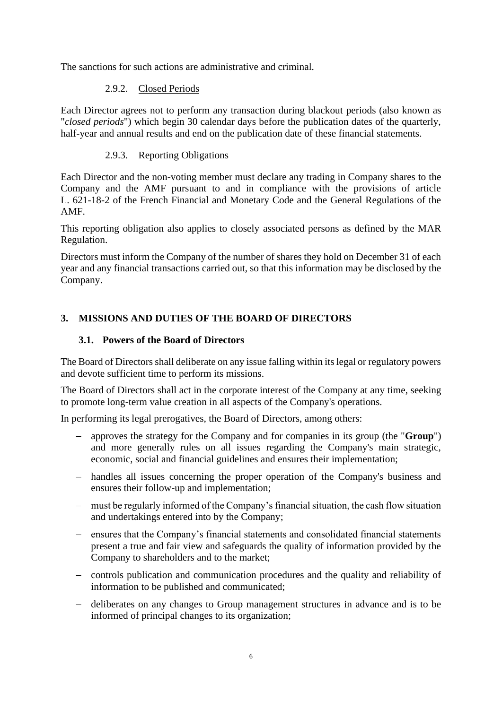<span id="page-5-0"></span>The sanctions for such actions are administrative and criminal.

## 2.9.2. Closed Periods

Each Director agrees not to perform any transaction during blackout periods (also known as "*closed periods*") which begin 30 calendar days before the publication dates of the quarterly, half-year and annual results and end on the publication date of these financial statements.

## 2.9.3. Reporting Obligations

Each Director and the non-voting member must declare any trading in Company shares to the Company and the AMF pursuant to and in compliance with the provisions of article L. 621-18-2 of the French Financial and Monetary Code and the General Regulations of the AMF.

This reporting obligation also applies to closely associated persons as defined by the MAR Regulation.

Directors must inform the Company of the number of shares they hold on December 31 of each year and any financial transactions carried out, so that this information may be disclosed by the Company.

## **3. MISSIONS AND DUTIES OF THE BOARD OF DIRECTORS**

### **3.1. Powers of the Board of Directors**

The Board of Directors shall deliberate on any issue falling within its legal or regulatory powers and devote sufficient time to perform its missions.

The Board of Directors shall act in the corporate interest of the Company at any time, seeking to promote long-term value creation in all aspects of the Company's operations.

In performing its legal prerogatives, the Board of Directors, among others:

- − approves the strategy for the Company and for companies in its group (the "**Group**") and more generally rules on all issues regarding the Company's main strategic, economic, social and financial guidelines and ensures their implementation;
- − handles all issues concerning the proper operation of the Company's business and ensures their follow-up and implementation;
- − must be regularly informed of the Company's financial situation, the cash flow situation and undertakings entered into by the Company;
- − ensures that the Company's financial statements and consolidated financial statements present a true and fair view and safeguards the quality of information provided by the Company to shareholders and to the market;
- − controls publication and communication procedures and the quality and reliability of information to be published and communicated;
- − deliberates on any changes to Group management structures in advance and is to be informed of principal changes to its organization;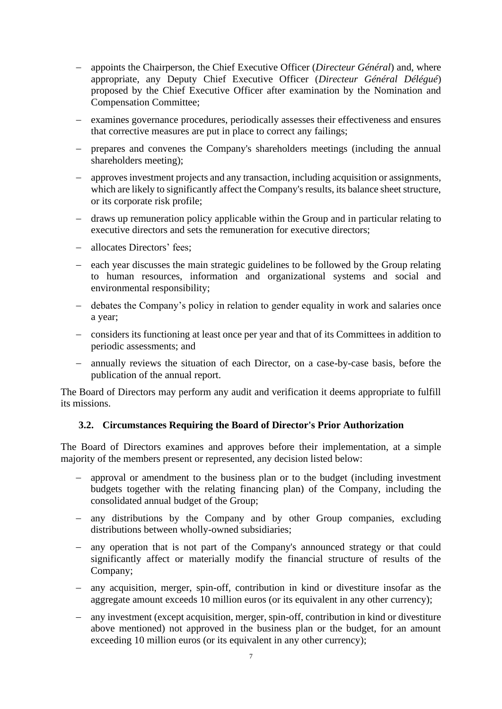- − appoints the Chairperson, the Chief Executive Officer (*Directeur Général*) and, where appropriate, any Deputy Chief Executive Officer (*Directeur Général Délégué*) proposed by the Chief Executive Officer after examination by the Nomination and Compensation Committee;
- − examines governance procedures, periodically assesses their effectiveness and ensures that corrective measures are put in place to correct any failings;
- − prepares and convenes the Company's shareholders meetings (including the annual shareholders meeting);
- − approves investment projects and any transaction, including acquisition or assignments, which are likely to significantly affect the Company's results, its balance sheet structure, or its corporate risk profile;
- − draws up remuneration policy applicable within the Group and in particular relating to executive directors and sets the remuneration for executive directors;
- − allocates Directors' fees;
- − each year discusses the main strategic guidelines to be followed by the Group relating to human resources, information and organizational systems and social and environmental responsibility;
- − debates the Company's policy in relation to gender equality in work and salaries once a year;
- − considers its functioning at least once per year and that of its Committees in addition to periodic assessments; and
- − annually reviews the situation of each Director, on a case-by-case basis, before the publication of the annual report.

The Board of Directors may perform any audit and verification it deems appropriate to fulfill its missions.

### **3.2. Circumstances Requiring the Board of Director's Prior Authorization**

The Board of Directors examines and approves before their implementation, at a simple majority of the members present or represented, any decision listed below:

- − approval or amendment to the business plan or to the budget (including investment budgets together with the relating financing plan) of the Company, including the consolidated annual budget of the Group;
- − any distributions by the Company and by other Group companies, excluding distributions between wholly-owned subsidiaries;
- − any operation that is not part of the Company's announced strategy or that could significantly affect or materially modify the financial structure of results of the Company;
- − any acquisition, merger, spin-off, contribution in kind or divestiture insofar as the aggregate amount exceeds 10 million euros (or its equivalent in any other currency);
- − any investment (except acquisition, merger, spin-off, contribution in kind or divestiture above mentioned) not approved in the business plan or the budget, for an amount exceeding 10 million euros (or its equivalent in any other currency);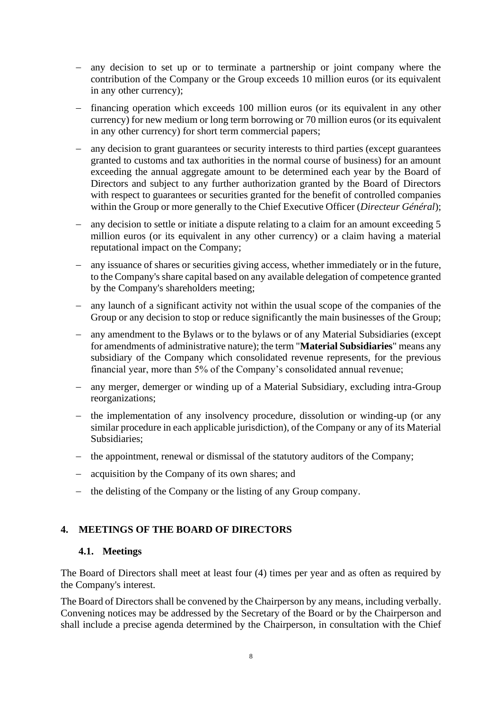- − any decision to set up or to terminate a partnership or joint company where the contribution of the Company or the Group exceeds 10 million euros (or its equivalent in any other currency);
- − financing operation which exceeds 100 million euros (or its equivalent in any other currency) for new medium or long term borrowing or 70 million euros (or its equivalent in any other currency) for short term commercial papers;
- − any decision to grant guarantees or security interests to third parties (except guarantees granted to customs and tax authorities in the normal course of business) for an amount exceeding the annual aggregate amount to be determined each year by the Board of Directors and subject to any further authorization granted by the Board of Directors with respect to guarantees or securities granted for the benefit of controlled companies within the Group or more generally to the Chief Executive Officer (*Directeur Général*);
- − any decision to settle or initiate a dispute relating to a claim for an amount exceeding 5 million euros (or its equivalent in any other currency) or a claim having a material reputational impact on the Company;
- − any issuance of shares or securities giving access, whether immediately or in the future, to the Company's share capital based on any available delegation of competence granted by the Company's shareholders meeting;
- − any launch of a significant activity not within the usual scope of the companies of the Group or any decision to stop or reduce significantly the main businesses of the Group;
- − any amendment to the Bylaws or to the bylaws or of any Material Subsidiaries (except for amendments of administrative nature); the term "**Material Subsidiaries**" means any subsidiary of the Company which consolidated revenue represents, for the previous financial year, more than 5% of the Company's consolidated annual revenue;
- − any merger, demerger or winding up of a Material Subsidiary, excluding intra-Group reorganizations;
- − the implementation of any insolvency procedure, dissolution or winding-up (or any similar procedure in each applicable jurisdiction), of the Company or any of its Material Subsidiaries;
- − the appointment, renewal or dismissal of the statutory auditors of the Company;
- − acquisition by the Company of its own shares; and
- − the delisting of the Company or the listing of any Group company.

### **4. MEETINGS OF THE BOARD OF DIRECTORS**

#### **4.1. Meetings**

The Board of Directors shall meet at least four (4) times per year and as often as required by the Company's interest.

The Board of Directors shall be convened by the Chairperson by any means, including verbally. Convening notices may be addressed by the Secretary of the Board or by the Chairperson and shall include a precise agenda determined by the Chairperson, in consultation with the Chief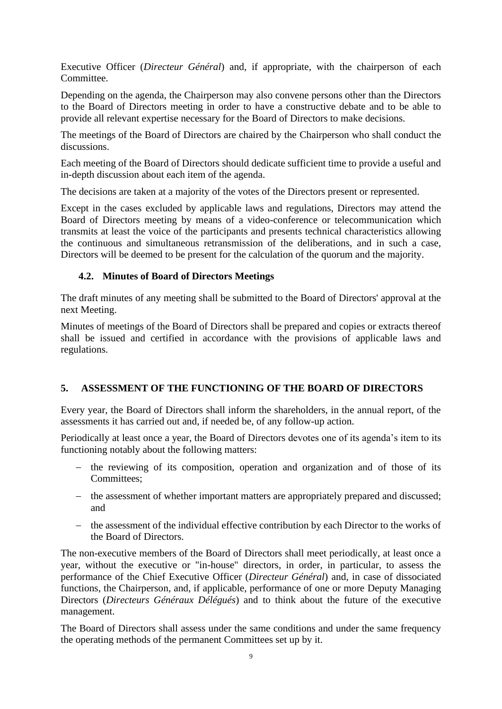Executive Officer (*Directeur Général*) and, if appropriate, with the chairperson of each Committee.

Depending on the agenda, the Chairperson may also convene persons other than the Directors to the Board of Directors meeting in order to have a constructive debate and to be able to provide all relevant expertise necessary for the Board of Directors to make decisions.

The meetings of the Board of Directors are chaired by the Chairperson who shall conduct the discussions.

Each meeting of the Board of Directors should dedicate sufficient time to provide a useful and in-depth discussion about each item of the agenda.

The decisions are taken at a majority of the votes of the Directors present or represented.

Except in the cases excluded by applicable laws and regulations, Directors may attend the Board of Directors meeting by means of a video-conference or telecommunication which transmits at least the voice of the participants and presents technical characteristics allowing the continuous and simultaneous retransmission of the deliberations, and in such a case, Directors will be deemed to be present for the calculation of the quorum and the majority.

## **4.2. Minutes of Board of Directors Meetings**

The draft minutes of any meeting shall be submitted to the Board of Directors' approval at the next Meeting.

Minutes of meetings of the Board of Directors shall be prepared and copies or extracts thereof shall be issued and certified in accordance with the provisions of applicable laws and regulations.

## **5. ASSESSMENT OF THE FUNCTIONING OF THE BOARD OF DIRECTORS**

Every year, the Board of Directors shall inform the shareholders, in the annual report, of the assessments it has carried out and, if needed be, of any follow-up action.

Periodically at least once a year, the Board of Directors devotes one of its agenda's item to its functioning notably about the following matters:

- − the reviewing of its composition, operation and organization and of those of its Committees;
- − the assessment of whether important matters are appropriately prepared and discussed; and
- − the assessment of the individual effective contribution by each Director to the works of the Board of Directors.

The non-executive members of the Board of Directors shall meet periodically, at least once a year, without the executive or "in-house" directors, in order, in particular, to assess the performance of the Chief Executive Officer (*Directeur Général*) and, in case of dissociated functions, the Chairperson, and, if applicable, performance of one or more Deputy Managing Directors (*Directeurs Généraux Délégués*) and to think about the future of the executive management.

The Board of Directors shall assess under the same conditions and under the same frequency the operating methods of the permanent Committees set up by it.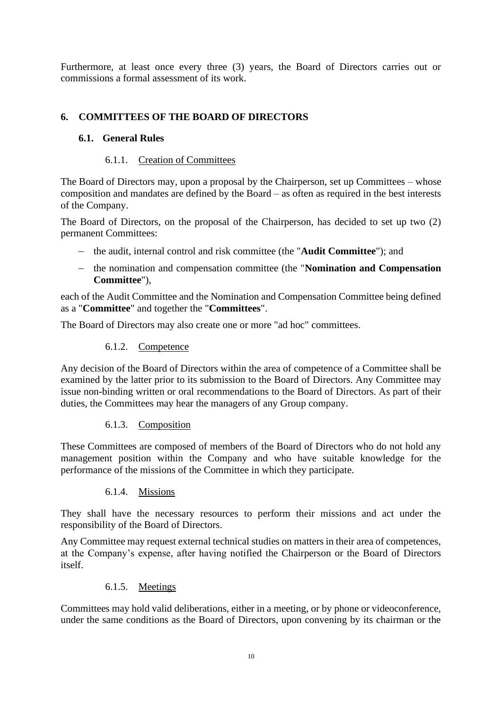Furthermore, at least once every three (3) years, the Board of Directors carries out or commissions a formal assessment of its work.

## **6. COMMITTEES OF THE BOARD OF DIRECTORS**

### **6.1. General Rules**

### 6.1.1. Creation of Committees

The Board of Directors may, upon a proposal by the Chairperson, set up Committees – whose composition and mandates are defined by the Board – as often as required in the best interests of the Company.

The Board of Directors, on the proposal of the Chairperson, has decided to set up two (2) permanent Committees:

- − the audit, internal control and risk committee (the "**Audit Committee**"); and
- − the nomination and compensation committee (the "**Nomination and Compensation Committee**"),

each of the Audit Committee and the Nomination and Compensation Committee being defined as a "**Committee**" and together the "**Committees**".

The Board of Directors may also create one or more "ad hoc" committees.

### 6.1.2. Competence

Any decision of the Board of Directors within the area of competence of a Committee shall be examined by the latter prior to its submission to the Board of Directors. Any Committee may issue non-binding written or oral recommendations to the Board of Directors. As part of their duties, the Committees may hear the managers of any Group company.

### 6.1.3. Composition

These Committees are composed of members of the Board of Directors who do not hold any management position within the Company and who have suitable knowledge for the performance of the missions of the Committee in which they participate.

### 6.1.4. Missions

They shall have the necessary resources to perform their missions and act under the responsibility of the Board of Directors.

Any Committee may request external technical studies on matters in their area of competences, at the Company's expense, after having notified the Chairperson or the Board of Directors itself.

### 6.1.5. Meetings

Committees may hold valid deliberations, either in a meeting, or by phone or videoconference, under the same conditions as the Board of Directors, upon convening by its chairman or the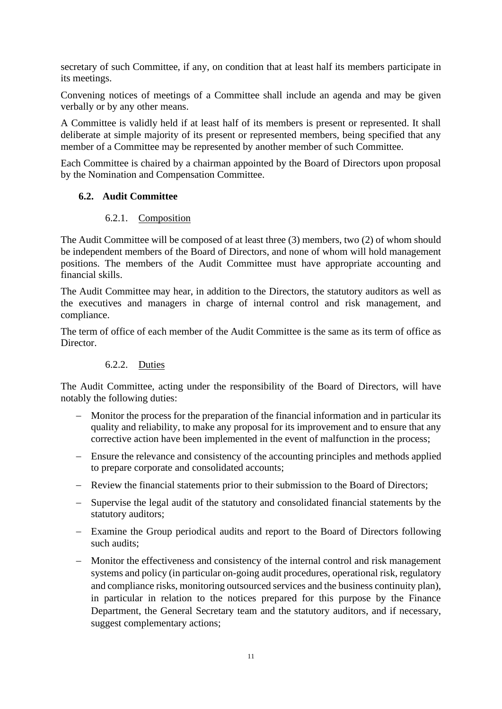secretary of such Committee, if any, on condition that at least half its members participate in its meetings.

Convening notices of meetings of a Committee shall include an agenda and may be given verbally or by any other means.

A Committee is validly held if at least half of its members is present or represented. It shall deliberate at simple majority of its present or represented members, being specified that any member of a Committee may be represented by another member of such Committee.

Each Committee is chaired by a chairman appointed by the Board of Directors upon proposal by the Nomination and Compensation Committee.

## **6.2. Audit Committee**

### 6.2.1. Composition

The Audit Committee will be composed of at least three (3) members, two (2) of whom should be independent members of the Board of Directors, and none of whom will hold management positions. The members of the Audit Committee must have appropriate accounting and financial skills.

The Audit Committee may hear, in addition to the Directors, the statutory auditors as well as the executives and managers in charge of internal control and risk management, and compliance.

The term of office of each member of the Audit Committee is the same as its term of office as Director.

### 6.2.2. Duties

The Audit Committee, acting under the responsibility of the Board of Directors, will have notably the following duties:

- − Monitor the process for the preparation of the financial information and in particular its quality and reliability, to make any proposal for its improvement and to ensure that any corrective action have been implemented in the event of malfunction in the process;
- − Ensure the relevance and consistency of the accounting principles and methods applied to prepare corporate and consolidated accounts;
- − Review the financial statements prior to their submission to the Board of Directors;
- − Supervise the legal audit of the statutory and consolidated financial statements by the statutory auditors;
- − Examine the Group periodical audits and report to the Board of Directors following such audits;
- − Monitor the effectiveness and consistency of the internal control and risk management systems and policy (in particular on-going audit procedures, operational risk, regulatory and compliance risks, monitoring outsourced services and the business continuity plan), in particular in relation to the notices prepared for this purpose by the Finance Department, the General Secretary team and the statutory auditors, and if necessary, suggest complementary actions;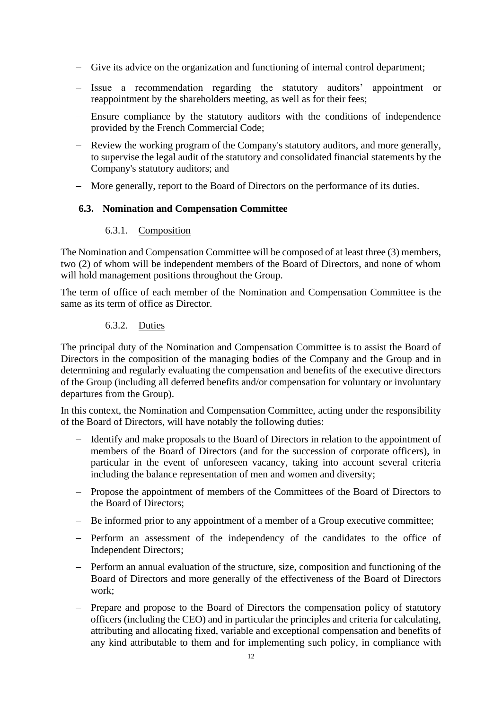- − Give its advice on the organization and functioning of internal control department;
- − Issue a recommendation regarding the statutory auditors' appointment or reappointment by the shareholders meeting, as well as for their fees;
- − Ensure compliance by the statutory auditors with the conditions of independence provided by the French Commercial Code;
- − Review the working program of the Company's statutory auditors, and more generally, to supervise the legal audit of the statutory and consolidated financial statements by the Company's statutory auditors; and
- − More generally, report to the Board of Directors on the performance of its duties.

### **6.3. Nomination and Compensation Committee**

#### 6.3.1. Composition

The Nomination and Compensation Committee will be composed of at least three (3) members, two (2) of whom will be independent members of the Board of Directors, and none of whom will hold management positions throughout the Group.

The term of office of each member of the Nomination and Compensation Committee is the same as its term of office as Director.

#### 6.3.2. Duties

The principal duty of the Nomination and Compensation Committee is to assist the Board of Directors in the composition of the managing bodies of the Company and the Group and in determining and regularly evaluating the compensation and benefits of the executive directors of the Group (including all deferred benefits and/or compensation for voluntary or involuntary departures from the Group).

In this context, the Nomination and Compensation Committee, acting under the responsibility of the Board of Directors, will have notably the following duties:

- − Identify and make proposals to the Board of Directors in relation to the appointment of members of the Board of Directors (and for the succession of corporate officers), in particular in the event of unforeseen vacancy, taking into account several criteria including the balance representation of men and women and diversity;
- − Propose the appointment of members of the Committees of the Board of Directors to the Board of Directors;
- − Be informed prior to any appointment of a member of a Group executive committee;
- − Perform an assessment of the independency of the candidates to the office of Independent Directors;
- − Perform an annual evaluation of the structure, size, composition and functioning of the Board of Directors and more generally of the effectiveness of the Board of Directors work;
- − Prepare and propose to the Board of Directors the compensation policy of statutory officers (including the CEO) and in particular the principles and criteria for calculating, attributing and allocating fixed, variable and exceptional compensation and benefits of any kind attributable to them and for implementing such policy, in compliance with